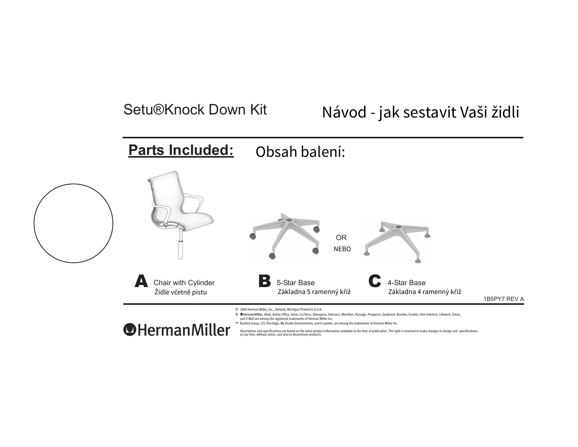## Setu®Knock Down Kit

# Návod - jak sestavit Vaši židli

#### **Parts Included:** Obsah balení:



® ●HermanMiller, Abak, Action Office, Avive, Co/Struc, Ethospace, Intersect, Meridian, Passage, Prospects, Quadrant, Resolve, Scooter, Vivo interiors, Lifework, Teneo, and V-Wall are among the registered trademarks of Herman Miller Inc.

™ Burdick Group, CLT, Flex-Edge, My Studio Environments, and Q system, are among the trademarks of Herman Miller Inc.

**O**HermanMiller

Illustrations and specifications are based on the latest product information available at the time of publication. The right is reserved to make changes in design and specifications<br>at any time, without notice, and also t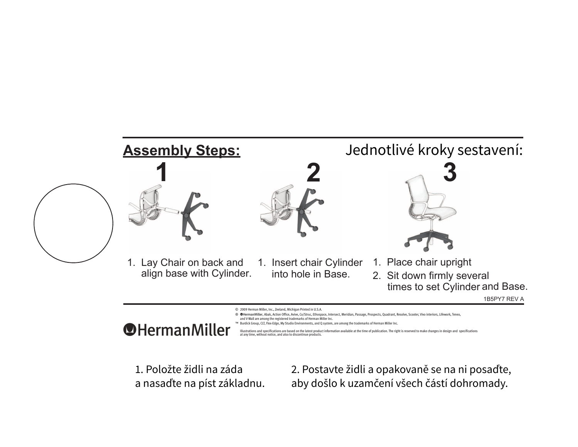

1. Položte židli na záda 12. Postavte židli a opakovaně se na ni posaďte,<br>1. Položte židli na záda a nasaďte na píst základnu. 1. Pološlo k uzamčení všech částí dohromady.